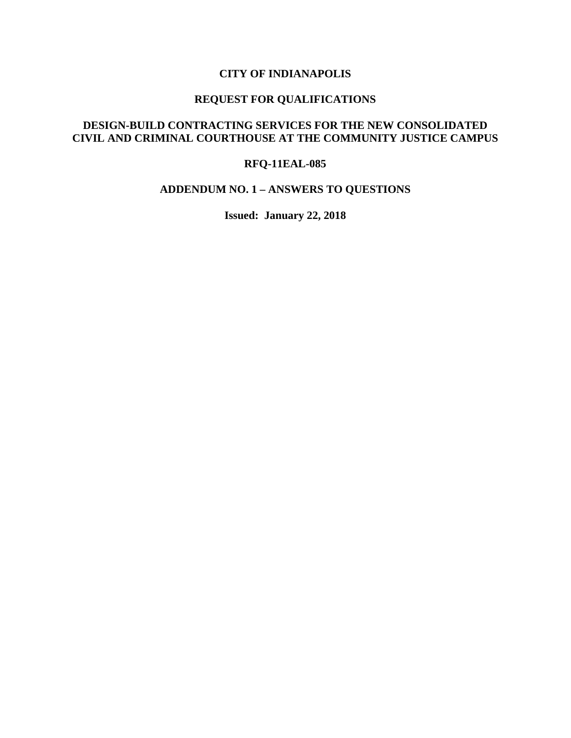### **CITY OF INDIANAPOLIS**

# **REQUEST FOR QUALIFICATIONS**

## **DESIGN-BUILD CONTRACTING SERVICES FOR THE NEW CONSOLIDATED CIVIL AND CRIMINAL COURTHOUSE AT THE COMMUNITY JUSTICE CAMPUS**

#### **RFQ-11EAL-085**

#### **ADDENDUM NO. 1 – ANSWERS TO QUESTIONS**

**Issued: January 22, 2018**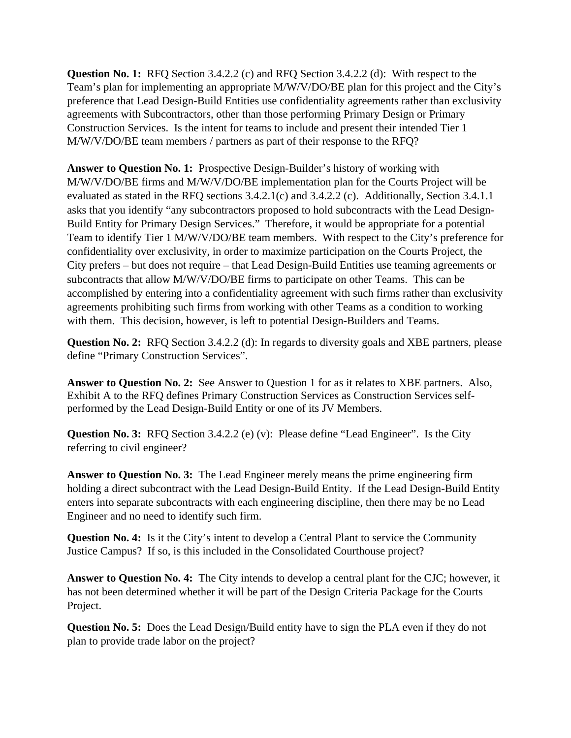**Question No. 1:** RFQ Section 3.4.2.2 (c) and RFQ Section 3.4.2.2 (d): With respect to the Team's plan for implementing an appropriate M/W/V/DO/BE plan for this project and the City's preference that Lead Design-Build Entities use confidentiality agreements rather than exclusivity agreements with Subcontractors, other than those performing Primary Design or Primary Construction Services. Is the intent for teams to include and present their intended Tier 1 M/W/V/DO/BE team members / partners as part of their response to the RFQ?

**Answer to Question No. 1:** Prospective Design-Builder's history of working with M/W/V/DO/BE firms and M/W/V/DO/BE implementation plan for the Courts Project will be evaluated as stated in the RFQ sections 3.4.2.1(c) and 3.4.2.2 (c). Additionally, Section 3.4.1.1 asks that you identify "any subcontractors proposed to hold subcontracts with the Lead Design-Build Entity for Primary Design Services." Therefore, it would be appropriate for a potential Team to identify Tier 1 M/W/V/DO/BE team members. With respect to the City's preference for confidentiality over exclusivity, in order to maximize participation on the Courts Project, the City prefers – but does not require – that Lead Design-Build Entities use teaming agreements or subcontracts that allow M/W/V/DO/BE firms to participate on other Teams. This can be accomplished by entering into a confidentiality agreement with such firms rather than exclusivity agreements prohibiting such firms from working with other Teams as a condition to working with them. This decision, however, is left to potential Design-Builders and Teams.

**Question No. 2:** RFQ Section 3.4.2.2 (d): In regards to diversity goals and XBE partners, please define "Primary Construction Services".

**Answer to Question No. 2:** See Answer to Question 1 for as it relates to XBE partners. Also, Exhibit A to the RFQ defines Primary Construction Services as Construction Services selfperformed by the Lead Design-Build Entity or one of its JV Members.

**Question No. 3:** RFQ Section 3.4.2.2 (e) (v): Please define "Lead Engineer". Is the City referring to civil engineer?

**Answer to Question No. 3:** The Lead Engineer merely means the prime engineering firm holding a direct subcontract with the Lead Design-Build Entity. If the Lead Design-Build Entity enters into separate subcontracts with each engineering discipline, then there may be no Lead Engineer and no need to identify such firm.

**Question No. 4:** Is it the City's intent to develop a Central Plant to service the Community Justice Campus? If so, is this included in the Consolidated Courthouse project?

**Answer to Question No. 4:** The City intends to develop a central plant for the CJC; however, it has not been determined whether it will be part of the Design Criteria Package for the Courts Project.

**Question No. 5:** Does the Lead Design/Build entity have to sign the PLA even if they do not plan to provide trade labor on the project?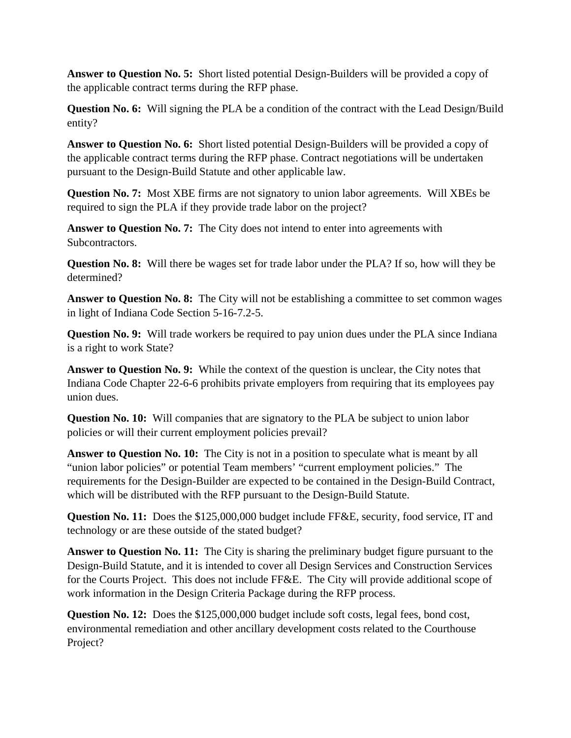**Answer to Question No. 5:** Short listed potential Design-Builders will be provided a copy of the applicable contract terms during the RFP phase.

**Question No. 6:** Will signing the PLA be a condition of the contract with the Lead Design/Build entity?

**Answer to Question No. 6:** Short listed potential Design-Builders will be provided a copy of the applicable contract terms during the RFP phase. Contract negotiations will be undertaken pursuant to the Design-Build Statute and other applicable law.

**Question No. 7:** Most XBE firms are not signatory to union labor agreements. Will XBEs be required to sign the PLA if they provide trade labor on the project?

**Answer to Question No. 7:** The City does not intend to enter into agreements with Subcontractors.

**Question No. 8:** Will there be wages set for trade labor under the PLA? If so, how will they be determined?

Answer to Question No. 8: The City will not be establishing a committee to set common wages in light of Indiana Code Section 5-16-7.2-5.

**Question No. 9:** Will trade workers be required to pay union dues under the PLA since Indiana is a right to work State?

**Answer to Question No. 9:** While the context of the question is unclear, the City notes that Indiana Code Chapter 22-6-6 prohibits private employers from requiring that its employees pay union dues.

**Question No. 10:** Will companies that are signatory to the PLA be subject to union labor policies or will their current employment policies prevail?

**Answer to Question No. 10:** The City is not in a position to speculate what is meant by all "union labor policies" or potential Team members' "current employment policies." The requirements for the Design-Builder are expected to be contained in the Design-Build Contract, which will be distributed with the RFP pursuant to the Design-Build Statute.

**Question No. 11:** Does the \$125,000,000 budget include FF&E, security, food service, IT and technology or are these outside of the stated budget?

**Answer to Question No. 11:** The City is sharing the preliminary budget figure pursuant to the Design-Build Statute, and it is intended to cover all Design Services and Construction Services for the Courts Project. This does not include FF&E. The City will provide additional scope of work information in the Design Criteria Package during the RFP process.

**Question No. 12:** Does the \$125,000,000 budget include soft costs, legal fees, bond cost, environmental remediation and other ancillary development costs related to the Courthouse Project?